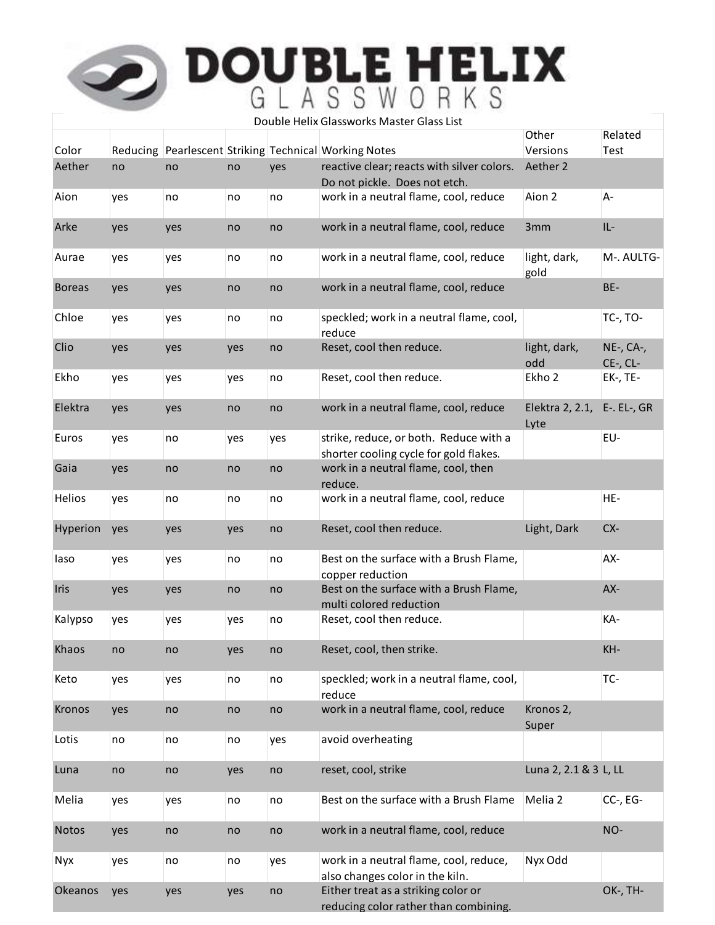|               |     |     |     |     | Double Helix Glassworks Master Glass List                                        | Other                   | Related                    |
|---------------|-----|-----|-----|-----|----------------------------------------------------------------------------------|-------------------------|----------------------------|
| Color         |     |     |     |     | Reducing Pearlescent Striking Technical Working Notes                            | Versions                | Test                       |
| Aether        | no  | no  | no  | yes | reactive clear; reacts with silver colors.                                       | Aether 2                |                            |
| Aion          | yes | no  | no  | no  | Do not pickle. Does not etch.<br>work in a neutral flame, cool, reduce           | Aion 2                  | А-                         |
| Arke          | yes | yes | no  | no  | work in a neutral flame, cool, reduce                                            | 3mm                     | IL-                        |
| Aurae         | yes | yes | no  | no  | work in a neutral flame, cool, reduce                                            | light, dark,<br>gold    | M-. AULTG-                 |
| <b>Boreas</b> | yes | yes | no  | no  | work in a neutral flame, cool, reduce                                            |                         | BE-                        |
| Chloe         | yes | yes | no  | no  | speckled; work in a neutral flame, cool,<br>reduce                               |                         | <b>TC-, TO-</b>            |
| Clio          | yes | yes | yes | no  | Reset, cool then reduce.                                                         | light, dark,            | NE-, CA-,                  |
| Ekho          | yes | yes | yes | no  | Reset, cool then reduce.                                                         | odd<br>Ekho 2           | $CE$ -, $CL$ -<br>EK-, TE- |
| Elektra       | yes | yes | no  | no  | work in a neutral flame, cool, reduce                                            | Elektra 2, 2.1,<br>Lyte | $E$ -. $EL$ -, $GR$        |
| Euros         | yes | no  | yes | yes | strike, reduce, or both. Reduce with a<br>shorter cooling cycle for gold flakes. |                         | EU-                        |
| Gaia          | yes | no  | no  | no  | work in a neutral flame, cool, then<br>reduce.                                   |                         |                            |
| <b>Helios</b> | yes | no  | no  | no  | work in a neutral flame, cool, reduce                                            |                         | HE-                        |
| Hyperion      | yes | yes | yes | no  | Reset, cool then reduce.                                                         | Light, Dark             | CX-                        |
| laso          | yes | yes | no  | no  | Best on the surface with a Brush Flame,<br>copper reduction                      |                         | AX-                        |
| Iris          | yes | yes | no  | no  | Best on the surface with a Brush Flame,<br>multi colored reduction               |                         | AX-                        |
| Kalypso       | yes | yes | yes | no  | Reset, cool then reduce.                                                         |                         | KA-                        |
| Khaos         | no  | no  | yes | no  | Reset, cool, then strike.                                                        |                         | KH-                        |
| Keto          | yes | yes | no  | no  | speckled; work in a neutral flame, cool,<br>reduce                               |                         | TC-                        |
| <b>Kronos</b> | yes | no  | no  | no  | work in a neutral flame, cool, reduce                                            | Kronos 2,<br>Super      |                            |
| Lotis         | no  | no  | no  | yes | avoid overheating                                                                |                         |                            |
| Luna          | no  | no  | yes | no  | reset, cool, strike                                                              | Luna 2, 2.1 & 3 L, LL   |                            |
| Melia         | yes | yes | no  | no  | Best on the surface with a Brush Flame                                           | Melia 2                 | CC-, EG-                   |
| Notos         | yes | no  | no  | no  | work in a neutral flame, cool, reduce                                            |                         | NO-                        |
| <b>Nyx</b>    | yes | no  | no  | yes | work in a neutral flame, cool, reduce,<br>also changes color in the kiln.        | Nyx Odd                 |                            |
| Okeanos       | yes | yes | yes | no  | Either treat as a striking color or<br>reducing color rather than combining.     |                         | OK-, TH-                   |
|               |     |     |     |     |                                                                                  |                         |                            |